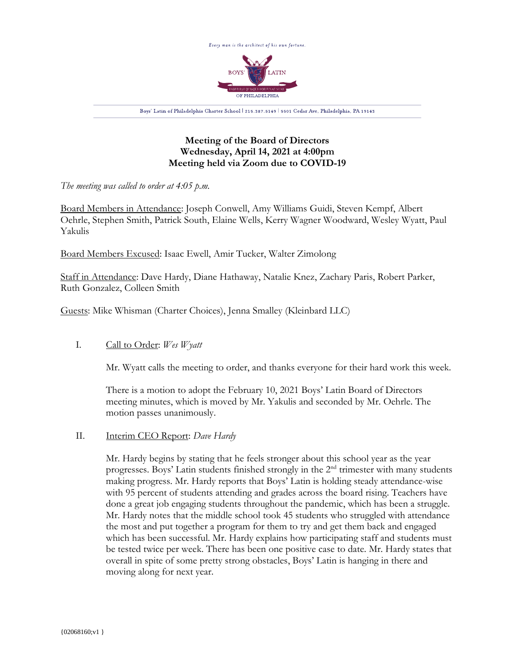

# **Meeting of the Board of Directors Wednesday, April 14, 2021 at 4:00pm Meeting held via Zoom due to COVID-19**

*The meeting was called to order at 4:05 p.m.*

Board Members in Attendance: Joseph Conwell, Amy Williams Guidi, Steven Kempf, Albert Oehrle, Stephen Smith, Patrick South, Elaine Wells, Kerry Wagner Woodward, Wesley Wyatt, Paul Yakulis

Board Members Excused: Isaac Ewell, Amir Tucker, Walter Zimolong

Staff in Attendance: Dave Hardy, Diane Hathaway, Natalie Knez, Zachary Paris, Robert Parker, Ruth Gonzalez, Colleen Smith

Guests: Mike Whisman (Charter Choices), Jenna Smalley (Kleinbard LLC)

# I. Call to Order: *Wes Wyatt*

Mr. Wyatt calls the meeting to order, and thanks everyone for their hard work this week.

There is a motion to adopt the February 10, 2021 Boys' Latin Board of Directors meeting minutes, which is moved by Mr. Yakulis and seconded by Mr. Oehrle. The motion passes unanimously.

## II. Interim CEO Report: *Dave Hardy*

Mr. Hardy begins by stating that he feels stronger about this school year as the year progresses. Boys' Latin students finished strongly in the  $2<sup>nd</sup>$  trimester with many students making progress. Mr. Hardy reports that Boys' Latin is holding steady attendance-wise with 95 percent of students attending and grades across the board rising. Teachers have done a great job engaging students throughout the pandemic, which has been a struggle. Mr. Hardy notes that the middle school took 45 students who struggled with attendance the most and put together a program for them to try and get them back and engaged which has been successful. Mr. Hardy explains how participating staff and students must be tested twice per week. There has been one positive case to date. Mr. Hardy states that overall in spite of some pretty strong obstacles, Boys' Latin is hanging in there and moving along for next year.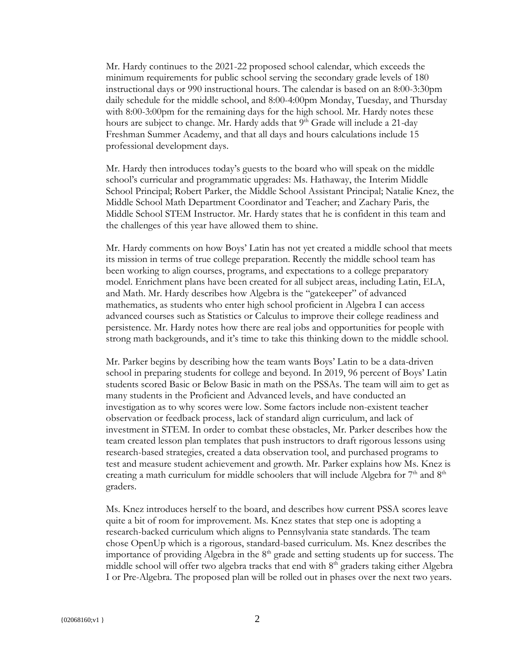Mr. Hardy continues to the 2021-22 proposed school calendar, which exceeds the minimum requirements for public school serving the secondary grade levels of 180 instructional days or 990 instructional hours. The calendar is based on an 8:00-3:30pm daily schedule for the middle school, and 8:00-4:00pm Monday, Tuesday, and Thursday with 8:00-3:00pm for the remaining days for the high school. Mr. Hardy notes these hours are subject to change. Mr. Hardy adds that  $9<sup>th</sup>$  Grade will include a 21-day Freshman Summer Academy, and that all days and hours calculations include 15 professional development days.

Mr. Hardy then introduces today's guests to the board who will speak on the middle school's curricular and programmatic upgrades: Ms. Hathaway, the Interim Middle School Principal; Robert Parker, the Middle School Assistant Principal; Natalie Knez, the Middle School Math Department Coordinator and Teacher; and Zachary Paris, the Middle School STEM Instructor. Mr. Hardy states that he is confident in this team and the challenges of this year have allowed them to shine.

Mr. Hardy comments on how Boys' Latin has not yet created a middle school that meets its mission in terms of true college preparation. Recently the middle school team has been working to align courses, programs, and expectations to a college preparatory model. Enrichment plans have been created for all subject areas, including Latin, ELA, and Math. Mr. Hardy describes how Algebra is the "gatekeeper" of advanced mathematics, as students who enter high school proficient in Algebra I can access advanced courses such as Statistics or Calculus to improve their college readiness and persistence. Mr. Hardy notes how there are real jobs and opportunities for people with strong math backgrounds, and it's time to take this thinking down to the middle school.

Mr. Parker begins by describing how the team wants Boys' Latin to be a data-driven school in preparing students for college and beyond. In 2019, 96 percent of Boys' Latin students scored Basic or Below Basic in math on the PSSAs. The team will aim to get as many students in the Proficient and Advanced levels, and have conducted an investigation as to why scores were low. Some factors include non-existent teacher observation or feedback process, lack of standard align curriculum, and lack of investment in STEM. In order to combat these obstacles, Mr. Parker describes how the team created lesson plan templates that push instructors to draft rigorous lessons using research-based strategies, created a data observation tool, and purchased programs to test and measure student achievement and growth. Mr. Parker explains how Ms. Knez is creating a math curriculum for middle schoolers that will include Algebra for  $7<sup>th</sup>$  and  $8<sup>th</sup>$ graders.

Ms. Knez introduces herself to the board, and describes how current PSSA scores leave quite a bit of room for improvement. Ms. Knez states that step one is adopting a research-backed curriculum which aligns to Pennsylvania state standards. The team chose OpenUp which is a rigorous, standard-based curriculum. Ms. Knez describes the importance of providing Algebra in the  $8<sup>th</sup>$  grade and setting students up for success. The middle school will offer two algebra tracks that end with  $8<sup>th</sup>$  graders taking either Algebra I or Pre-Algebra. The proposed plan will be rolled out in phases over the next two years.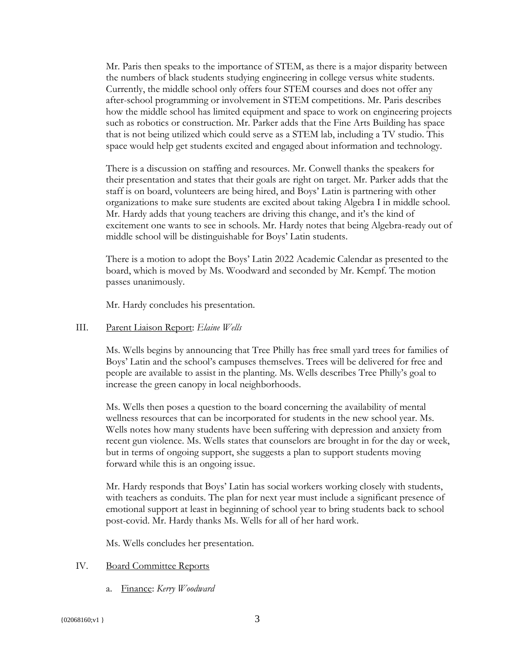Mr. Paris then speaks to the importance of STEM, as there is a major disparity between the numbers of black students studying engineering in college versus white students. Currently, the middle school only offers four STEM courses and does not offer any after-school programming or involvement in STEM competitions. Mr. Paris describes how the middle school has limited equipment and space to work on engineering projects such as robotics or construction. Mr. Parker adds that the Fine Arts Building has space that is not being utilized which could serve as a STEM lab, including a TV studio. This space would help get students excited and engaged about information and technology.

There is a discussion on staffing and resources. Mr. Conwell thanks the speakers for their presentation and states that their goals are right on target. Mr. Parker adds that the staff is on board, volunteers are being hired, and Boys' Latin is partnering with other organizations to make sure students are excited about taking Algebra I in middle school. Mr. Hardy adds that young teachers are driving this change, and it's the kind of excitement one wants to see in schools. Mr. Hardy notes that being Algebra-ready out of middle school will be distinguishable for Boys' Latin students.

There is a motion to adopt the Boys' Latin 2022 Academic Calendar as presented to the board, which is moved by Ms. Woodward and seconded by Mr. Kempf. The motion passes unanimously.

Mr. Hardy concludes his presentation.

### III. Parent Liaison Report: *Elaine Wells*

Ms. Wells begins by announcing that Tree Philly has free small yard trees for families of Boys' Latin and the school's campuses themselves. Trees will be delivered for free and people are available to assist in the planting. Ms. Wells describes Tree Philly's goal to increase the green canopy in local neighborhoods.

Ms. Wells then poses a question to the board concerning the availability of mental wellness resources that can be incorporated for students in the new school year. Ms. Wells notes how many students have been suffering with depression and anxiety from recent gun violence. Ms. Wells states that counselors are brought in for the day or week, but in terms of ongoing support, she suggests a plan to support students moving forward while this is an ongoing issue.

Mr. Hardy responds that Boys' Latin has social workers working closely with students, with teachers as conduits. The plan for next year must include a significant presence of emotional support at least in beginning of school year to bring students back to school post-covid. Mr. Hardy thanks Ms. Wells for all of her hard work.

Ms. Wells concludes her presentation.

### IV. Board Committee Reports

a. Finance: *Kerry Woodward*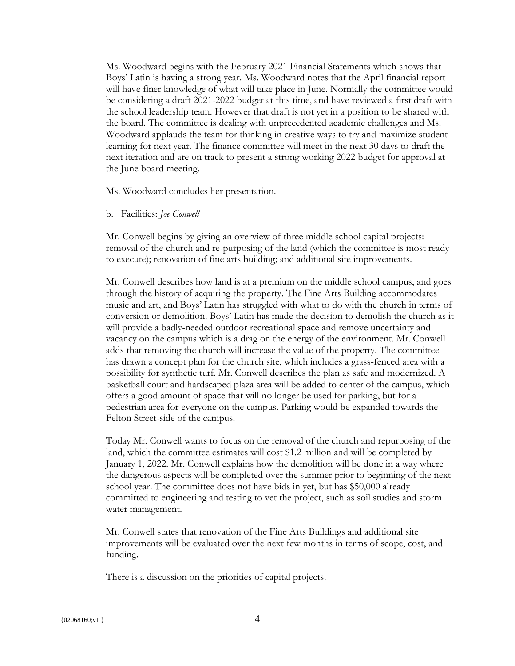Ms. Woodward begins with the February 2021 Financial Statements which shows that Boys' Latin is having a strong year. Ms. Woodward notes that the April financial report will have finer knowledge of what will take place in June. Normally the committee would be considering a draft 2021-2022 budget at this time, and have reviewed a first draft with the school leadership team. However that draft is not yet in a position to be shared with the board. The committee is dealing with unprecedented academic challenges and Ms. Woodward applauds the team for thinking in creative ways to try and maximize student learning for next year. The finance committee will meet in the next 30 days to draft the next iteration and are on track to present a strong working 2022 budget for approval at the June board meeting.

Ms. Woodward concludes her presentation.

#### b. Facilities: *Joe Conwell*

Mr. Conwell begins by giving an overview of three middle school capital projects: removal of the church and re-purposing of the land (which the committee is most ready to execute); renovation of fine arts building; and additional site improvements.

Mr. Conwell describes how land is at a premium on the middle school campus, and goes through the history of acquiring the property. The Fine Arts Building accommodates music and art, and Boys' Latin has struggled with what to do with the church in terms of conversion or demolition. Boys' Latin has made the decision to demolish the church as it will provide a badly-needed outdoor recreational space and remove uncertainty and vacancy on the campus which is a drag on the energy of the environment. Mr. Conwell adds that removing the church will increase the value of the property. The committee has drawn a concept plan for the church site, which includes a grass-fenced area with a possibility for synthetic turf. Mr. Conwell describes the plan as safe and modernized. A basketball court and hardscaped plaza area will be added to center of the campus, which offers a good amount of space that will no longer be used for parking, but for a pedestrian area for everyone on the campus. Parking would be expanded towards the Felton Street-side of the campus.

Today Mr. Conwell wants to focus on the removal of the church and repurposing of the land, which the committee estimates will cost \$1.2 million and will be completed by January 1, 2022. Mr. Conwell explains how the demolition will be done in a way where the dangerous aspects will be completed over the summer prior to beginning of the next school year. The committee does not have bids in yet, but has \$50,000 already committed to engineering and testing to vet the project, such as soil studies and storm water management.

Mr. Conwell states that renovation of the Fine Arts Buildings and additional site improvements will be evaluated over the next few months in terms of scope, cost, and funding.

There is a discussion on the priorities of capital projects.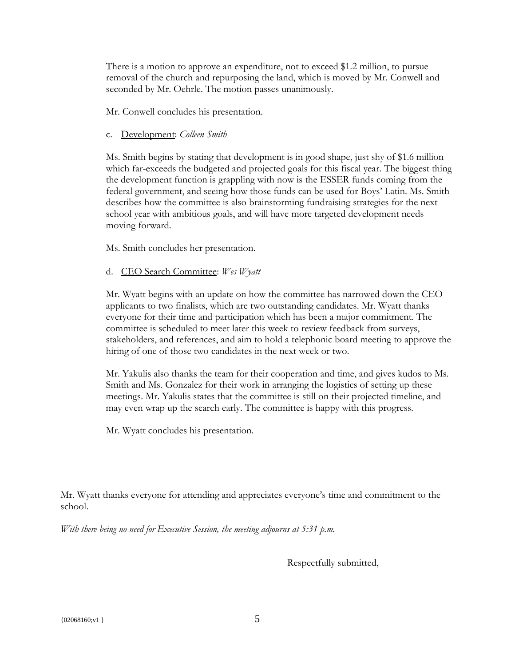There is a motion to approve an expenditure, not to exceed \$1.2 million, to pursue removal of the church and repurposing the land, which is moved by Mr. Conwell and seconded by Mr. Oehrle. The motion passes unanimously.

Mr. Conwell concludes his presentation.

c. Development: *Colleen Smith*

Ms. Smith begins by stating that development is in good shape, just shy of \$1.6 million which far-exceeds the budgeted and projected goals for this fiscal year. The biggest thing the development function is grappling with now is the ESSER funds coming from the federal government, and seeing how those funds can be used for Boys' Latin. Ms. Smith describes how the committee is also brainstorming fundraising strategies for the next school year with ambitious goals, and will have more targeted development needs moving forward.

Ms. Smith concludes her presentation.

## d. CEO Search Committee: *Wes Wyatt*

Mr. Wyatt begins with an update on how the committee has narrowed down the CEO applicants to two finalists, which are two outstanding candidates. Mr. Wyatt thanks everyone for their time and participation which has been a major commitment. The committee is scheduled to meet later this week to review feedback from surveys, stakeholders, and references, and aim to hold a telephonic board meeting to approve the hiring of one of those two candidates in the next week or two.

Mr. Yakulis also thanks the team for their cooperation and time, and gives kudos to Ms. Smith and Ms. Gonzalez for their work in arranging the logistics of setting up these meetings. Mr. Yakulis states that the committee is still on their projected timeline, and may even wrap up the search early. The committee is happy with this progress.

Mr. Wyatt concludes his presentation.

Mr. Wyatt thanks everyone for attending and appreciates everyone's time and commitment to the school.

*With there being no need for Executive Session, the meeting adjourns at 5:31 p.m.*

Respectfully submitted,